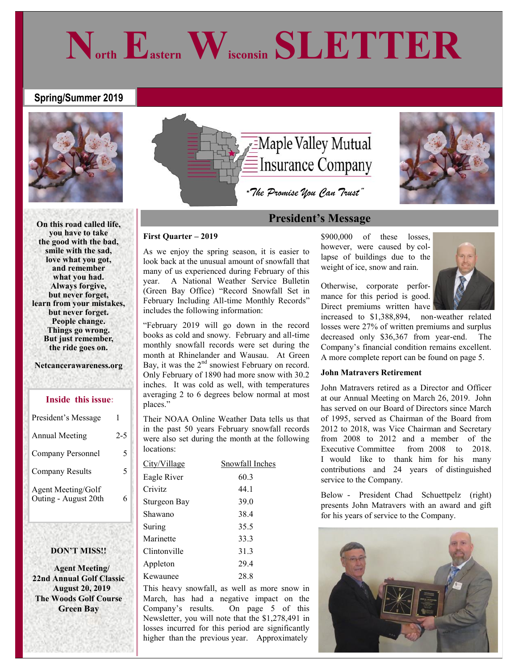# **Spring/Summer 2019**



**On this road called life, you have to take the good with the bad, smile with the sad, love what you got, and remember what you had. Always forgive, but never forget, learn from your mistakes, but never forget. People change. Things go wrong. But just remember, the ride goes on.**

### **Netcancerawareness.org**

## **Inside this issue:**

| President's Message                               |         |
|---------------------------------------------------|---------|
| <b>Annual Meeting</b>                             | $2 - 5$ |
| Company Personnel                                 | 5       |
| Company Results                                   | 5       |
| <b>Agent Meeting/Golf</b><br>Outing - August 20th |         |

## **DON'T MISS!!**

 **Agent Meeting/ 22nd Annual Golf Classic August 20, 2019 The Woods Golf Course Green Bay** 



**North Eastern Wisconsin SLETTER**

# **President's Message**

## **First Quarter – 2019**

As we enjoy the spring season, it is easier to look back at the unusual amount of snowfall that many of us experienced during February of this year. A National Weather Service Bulletin (Green Bay Office) "Record Snowfall Set in February Including All-time Monthly Records" includes the following information:

"February 2019 will go down in the record books as cold and snowy. February and all-time monthly snowfall records were set during the month at Rhinelander and Wausau. At Green Bay, it was the  $2<sup>nd</sup>$  snowiest February on record. Only February of 1890 had more snow with 30.2 inches. It was cold as well, with temperatures averaging 2 to 6 degrees below normal at most places."

Their NOAA Online Weather Data tells us that in the past 50 years February snowfall records were also set during the month at the following locations:

| City/Village | Snowfall Inches |
|--------------|-----------------|
| Eagle River  | 60.3            |
| Crivitz      | 44.1            |
| Sturgeon Bay | 39.0            |
| Shawano      | 38.4            |
| Suring       | 35.5            |
| Marinette    | 33.3            |
| Clintonville | 31.3            |
| Appleton     | 29.4            |
| Kewaunee     | 28.8            |

This heavy snowfall, as well as more snow in March, has had a negative impact on the Company's results. On page 5 of this Newsletter, you will note that the \$1,278,491 in losses incurred for this period are significantly higher than the previous year. Approximately

\$900,000 of these losses, however, were caused by collapse of buildings due to the weight of ice, snow and rain.



increased to \$1,388,894, non-weather related losses were 27% of written premiums and surplus decreased only \$36,367 from year-end. The Company's financial condition remains excellent. A more complete report can be found on page 5.

### **John Matravers Retirement**

John Matravers retired as a Director and Officer at our Annual Meeting on March 26, 2019. John has served on our Board of Directors since March of 1995, served as Chairman of the Board from 2012 to 2018, was Vice Chairman and Secretary from 2008 to 2012 and a member of the Executive Committee from 2008 to 2018. I would like to thank him for his many contributions and 24 years of distinguished service to the Company.

Below - President Chad Schuettpelz (right) presents John Matravers with an award and gift for his years of service to the Company.

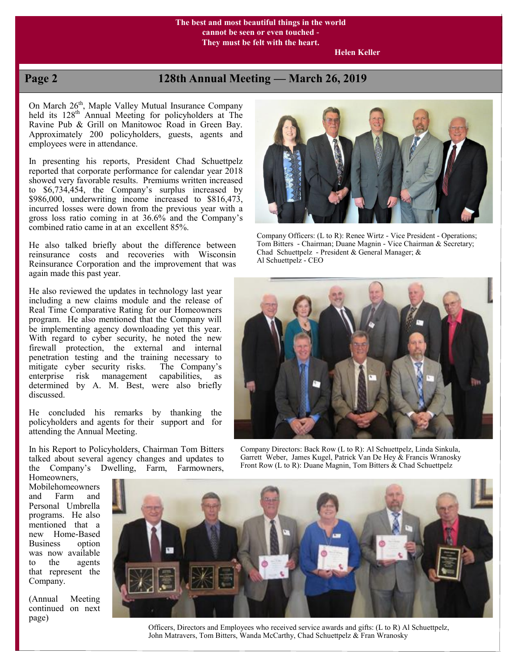## **The best and most beautiful things in the world cannot be seen or even touched - They must be felt with the heart.**

 **Helen Keller**

# **Page 2 128th Annual Meeting — March 26, 2019**

On March 26<sup>th</sup>, Maple Valley Mutual Insurance Company held its 128<sup>th</sup> Annual Meeting for policyholders at The Ravine Pub & Grill on Manitowoc Road in Green Bay. Approximately 200 policyholders, guests, agents and employees were in attendance.

In presenting his reports, President Chad Schuettpelz reported that corporate performance for calendar year 2018 showed very favorable results. Premiums written increased to \$6,734,454, the Company's surplus increased by \$986,000, underwriting income increased to \$816,473, incurred losses were down from the previous year with a gross loss ratio coming in at 36.6% and the Company's combined ratio came in at an excellent 85%.

He also talked briefly about the difference between reinsurance costs and recoveries with Wisconsin Reinsurance Corporation and the improvement that was again made this past year.

He also reviewed the updates in technology last year including a new claims module and the release of Real Time Comparative Rating for our Homeowners program. He also mentioned that the Company will be implementing agency downloading yet this year. With regard to cyber security, he noted the new firewall protection, the external and internal penetration testing and the training necessary to mitigate cyber security risks. The Company's enterprise risk management capabilities, as determined by A. M. Best, were also briefly discussed.

He concluded his remarks by thanking the policyholders and agents for their support and for attending the Annual Meeting.

In his Report to Policyholders, Chairman Tom Bitters talked about several agency changes and updates to the Company's Dwelling, Farm, Farmowners,



Company Officers: (L to R): Renee Wirtz - Vice President - Operations; Tom Bitters - Chairman; Duane Magnin - Vice Chairman & Secretary; Chad Schuettpelz - President & General Manager; & Al Schuettpelz - CEO



 Company Directors: Back Row (L to R): Al Schuettpelz, Linda Sinkula, Garrett Weber, James Kugel, Patrick Van De Hey & Francis Wranosky Front Row (L to R): Duane Magnin, Tom Bitters & Chad Schuettpelz

Homeowners, Mobilehomeowners and Farm and Personal Umbrella programs. He also mentioned that a new Home-Based<br>Business option **Business** was now available to the agents that represent the Company.

(Annual Meeting continued on next page)



 Officers, Directors and Employees who received service awards and gifts: (L to R) Al Schuettpelz, John Matravers, Tom Bitters, Wanda McCarthy, Chad Schuettpelz & Fran Wranosky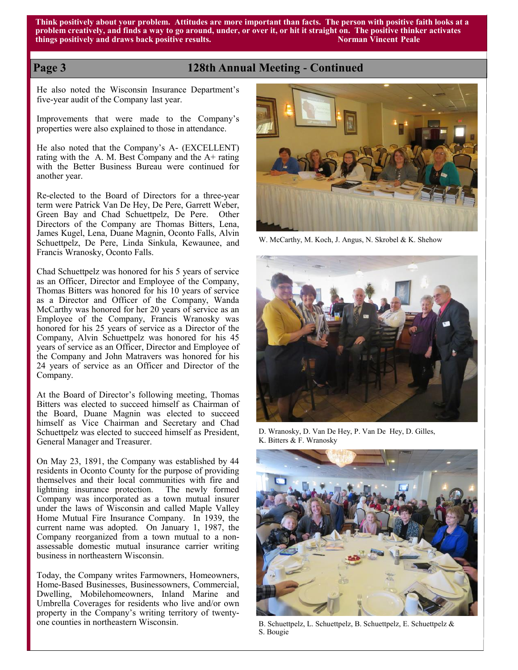**Think positively about your problem. Attitudes are more important than facts. The person with positive faith looks at a problem creatively, and finds a way to go around, under, or over it, or hit it straight on. The positive thinker activates things positively and draws back positive results. Norman Vincent Peale**

# **Page 3 128th Annual Meeting - Continued**

He also noted the Wisconsin Insurance Department's five-year audit of the Company last year.

Improvements that were made to the Company's properties were also explained to those in attendance.

He also noted that the Company's A- (EXCELLENT) rating with the A. M. Best Company and the  $A+$  rating with the Better Business Bureau were continued for another year.

Re-elected to the Board of Directors for a three-year term were Patrick Van De Hey, De Pere, Garrett Weber, Green Bay and Chad Schuettpelz, De Pere. Other Directors of the Company are Thomas Bitters, Lena, James Kugel, Lena, Duane Magnin, Oconto Falls, Alvin Schuettpelz, De Pere, Linda Sinkula, Kewaunee, and Francis Wranosky, Oconto Falls.

Chad Schuettpelz was honored for his 5 years of service as an Officer, Director and Employee of the Company, Thomas Bitters was honored for his 10 years of service as a Director and Officer of the Company, Wanda McCarthy was honored for her 20 years of service as an Employee of the Company, Francis Wranosky was honored for his 25 years of service as a Director of the Company, Alvin Schuettpelz was honored for his 45 years of service as an Officer, Director and Employee of the Company and John Matravers was honored for his 24 years of service as an Officer and Director of the Company.

At the Board of Director's following meeting, Thomas Bitters was elected to succeed himself as Chairman of the Board, Duane Magnin was elected to succeed himself as Vice Chairman and Secretary and Chad Schuettpelz was elected to succeed himself as President, General Manager and Treasurer.

On May 23, 1891, the Company was established by 44 residents in Oconto County for the purpose of providing themselves and their local communities with fire and lightning insurance protection. The newly formed Company was incorporated as a town mutual insurer under the laws of Wisconsin and called Maple Valley Home Mutual Fire Insurance Company. In 1939, the current name was adopted. On January 1, 1987, the Company reorganized from a town mutual to a nonassessable domestic mutual insurance carrier writing business in northeastern Wisconsin.

Today, the Company writes Farmowners, Homeowners, Home-Based Businesses, Businessowners, Commercial, Dwelling, Mobilehomeowners, Inland Marine and Umbrella Coverages for residents who live and/or own property in the Company's writing territory of twentyone counties in northeastern Wisconsin.



W. McCarthy, M. Koch, J. Angus, N. Skrobel & K. Shehow



D. Wranosky, D. Van De Hey, P. Van De Hey, D. Gilles, K. Bitters & F. Wranosky



B. Schuettpelz, L. Schuettpelz, B. Schuettpelz, E. Schuettpelz & S. Bougie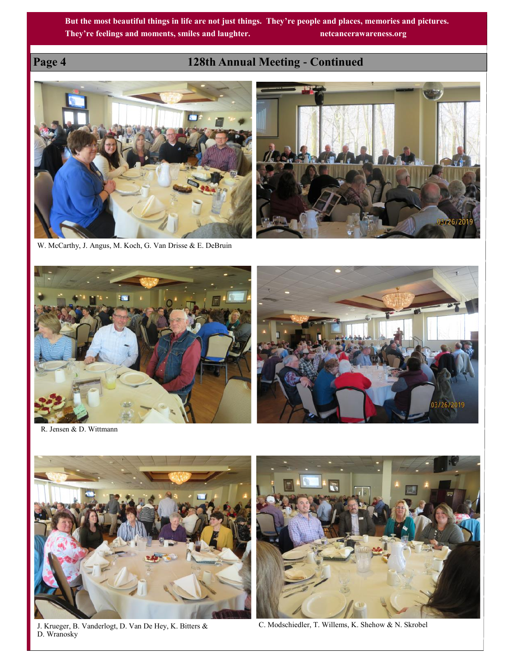# **Page 4 128th Annual Meeting - Continued**



W. McCarthy, J. Angus, M. Koch, G. Van Drisse & E. DeBruin



R. Jensen & D. Wittmann



J. Krueger, B. Vanderlogt, D. Van De Hey, K. Bitters & D. Wranosky



C. Modschiedler, T. Willems, K. Shehow & N. Skrobel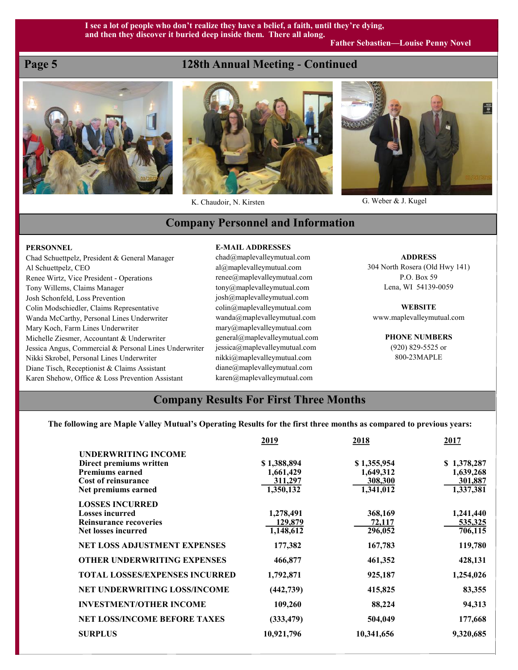# **Page 5 128th Annual Meeting - Continued**





K. Chaudoir, N. Kirsten G. Weber & J. Kugel



# **Company Personnel and Information**

### **PERSONNEL**

Chad Schuettpelz, President & General Manager Al Schuettpelz, CEO Renee Wirtz, Vice President - Operations Tony Willems, Claims Manager Josh Schonfeld, Loss Prevention Colin Modschiedler, Claims Representative Wanda McCarthy, Personal Lines Underwriter Mary Koch, Farm Lines Underwriter Michelle Ziesmer, Accountant & Underwriter Jessica Angus, Commercial & Personal Lines Underwriter Nikki Skrobel, Personal Lines Underwriter Diane Tisch, Receptionist & Claims Assistant Karen Shehow, Office & Loss Prevention Assistant

### **E-MAIL ADDRESSES**

chad@maplevalleymutual.com al@maplevalleymutual.com renee@maplevalleymutual.com tony@maplevalleymutual.com josh@maplevalleymutual.com colin@maplevalleymutual.com wanda@maplevalleymutual.com mary@maplevalleymutual.com general@maplevalleymutual.com jessica@maplevalleymutual.com nikki@maplevalleymutual.com diane@maplevalleymutual.com karen@maplevalleymutual.com

**ADDRESS** 304 North Rosera (Old Hwy 141)

P.O. Box 59 Lena, WI 54139-0059

**WEBSITE** www.maplevalleymutual.com

> **PHONE NUMBERS** (920) 829-5525 or 800-23MAPLE

# **Company Results For First Three Months**

## **The following are Maple Valley Mutual's Operating Results for the first three months as compared to previous years:**

|                                       | 2019        | 2018        | 2017        |
|---------------------------------------|-------------|-------------|-------------|
| <b>UNDERWRITING INCOME</b>            |             |             |             |
| Direct premiums written               | \$1,388,894 | \$1,355,954 | \$1,378,287 |
| <b>Premiums earned</b>                | 1,661,429   | 1,649,312   | 1,639,268   |
| <b>Cost of reinsurance</b>            | 311,297     | 308,300     | 301,887     |
| Net premiums earned                   | 1,350,132   | 1,341,012   | 1,337,381   |
| <b>LOSSES INCURRED</b>                |             |             |             |
| <b>Losses incurred</b>                | 1,278,491   | 368,169     | 1,241,440   |
| <b>Reinsurance recoveries</b>         | 129,879     | 72,117      | 535,325     |
| <b>Net losses incurred</b>            | 1,148,612   | 296,052     | 706,115     |
| <b>NET LOSS ADJUSTMENT EXPENSES</b>   | 177,382     | 167,783     | 119,780     |
| <b>OTHER UNDERWRITING EXPENSES</b>    | 466,877     | 461,352     | 428,131     |
| <b>TOTAL LOSSES/EXPENSES INCURRED</b> | 1,792,871   | 925,187     | 1,254,026   |
| NET UNDERWRITING LOSS/INCOME          | (442, 739)  | 415,825     | 83,355      |
| <b>INVESTMENT/OTHER INCOME</b>        | 109,260     | 88,224      | 94,313      |
| <b>NET LOSS/INCOME BEFORE TAXES</b>   | (333, 479)  | 504,049     | 177,668     |
| <b>SURPLUS</b>                        | 10,921,796  | 10,341,656  | 9,320,685   |
|                                       |             |             |             |